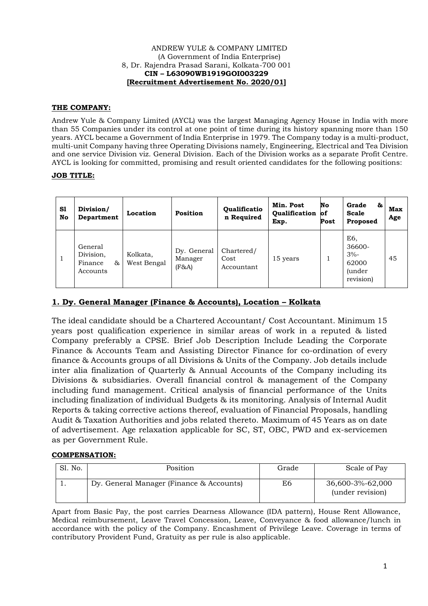#### ANDREW YULE & COMPANY LIMITED (A Government of India Enterprise) 8, Dr. Rajendra Prasad Sarani, Kolkata-700 001 **CIN – L63090WB1919GOI003229 [Recruitment Advertisement No. 2020/01]**

# **THE COMPANY:**

Andrew Yule & Company Limited (AYCL) was the largest Managing Agency House in India with more than 55 Companies under its control at one point of time during its history spanning more than 150 years. AYCL became a Government of India Enterprise in 1979. The Company today is a multi-product, multi-unit Company having three Operating Divisions namely, Engineering, Electrical and Tea Division and one service Division viz. General Division. Each of the Division works as a separate Profit Centre. AYCL is looking for committed, promising and result oriented candidates for the following positions:

## **JOB TITLE:**

| S1<br>No | Division/<br>Department                           | Location                | <b>Position</b>                    | Qualificatio<br>n Required       | Min. Post<br><b>Oualification</b><br>Exp. | No<br><b>of</b><br>Post | Grade<br>&<br><b>Scale</b><br>Proposed                          | <b>Max</b><br>Age |
|----------|---------------------------------------------------|-------------------------|------------------------------------|----------------------------------|-------------------------------------------|-------------------------|-----------------------------------------------------------------|-------------------|
|          | General<br>Division,<br>Finance<br>85<br>Accounts | Kolkata,<br>West Bengal | Dy. General<br>Manager<br>$(F\&A)$ | Chartered/<br>Cost<br>Accountant | 15 years                                  |                         | E6.<br>36600-<br>$3% -$<br>62000<br><i>(under)</i><br>revision) | 45                |

# **1. Dy. General Manager (Finance & Accounts), Location – Kolkata**

The ideal candidate should be a Chartered Accountant/ Cost Accountant. Minimum 15 years post qualification experience in similar areas of work in a reputed & listed Company preferably a CPSE. Brief Job Description Include Leading the Corporate Finance & Accounts Team and Assisting Director Finance for co-ordination of every finance & Accounts groups of all Divisions & Units of the Company. Job details include inter alia finalization of Quarterly & Annual Accounts of the Company including its Divisions & subsidiaries. Overall financial control & management of the Company including fund management. Critical analysis of financial performance of the Units including finalization of individual Budgets & its monitoring. Analysis of Internal Audit Reports & taking corrective actions thereof, evaluation of Financial Proposals, handling Audit & Taxation Authorities and jobs related thereto. Maximum of 45 Years as on date of advertisement. Age relaxation applicable for SC, ST, OBC, PWD and ex-servicemen as per Government Rule.

#### **COMPENSATION:**

| Sl. No. | Position                                 | Grade | Scale of Pay                         |
|---------|------------------------------------------|-------|--------------------------------------|
|         | Dy. General Manager (Finance & Accounts) | E6    | 36,600-3%-62,000<br>(under revision) |

Apart from Basic Pay, the post carries Dearness Allowance (IDA pattern), House Rent Allowance, Medical reimbursement, Leave Travel Concession, Leave, Conveyance & food allowance/lunch in accordance with the policy of the Company. Encashment of Privilege Leave. Coverage in terms of contributory Provident Fund, Gratuity as per rule is also applicable.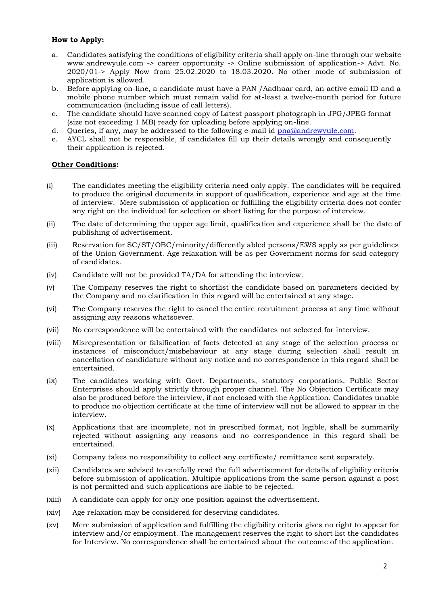### **How to Apply:**

- a. Candidates satisfying the conditions of eligibility criteria shall apply on-line through our website www.andrewyule.com -> career opportunity -> Online submission of application-> Advt. No. 2020/01-> Apply Now from 25.02.2020 to 18.03.2020. No other mode of submission of application is allowed.
- b. Before applying on-line, a candidate must have a PAN /Aadhaar card, an active email ID and a mobile phone number which must remain valid for at-least a twelve-month period for future communication (including issue of call letters).
- c. The candidate should have scanned copy of Latest passport photograph in JPG/JPEG format (size not exceeding 1 MB) ready for uploading before applying on-line.
- d. Oueries, if any, may be addressed to the following e-mail id [pna@andrewyule.com.](mailto:pna@andrewyule.com)
- e. AYCL shall not be responsible, if candidates fill up their details wrongly and consequently their application is rejected.

#### **Other Conditions:**

- (i) The candidates meeting the eligibility criteria need only apply. The candidates will be required to produce the original documents in support of qualification, experience and age at the time of interview. Mere submission of application or fulfilling the eligibility criteria does not confer any right on the individual for selection or short listing for the purpose of interview.
- (ii) The date of determining the upper age limit, qualification and experience shall be the date of publishing of advertisement.
- (iii) Reservation for SC/ST/OBC/minority/differently abled persons/EWS apply as per guidelines of the Union Government. Age relaxation will be as per Government norms for said category of candidates.
- (iv) Candidate will not be provided TA/DA for attending the interview.
- (v) The Company reserves the right to shortlist the candidate based on parameters decided by the Company and no clarification in this regard will be entertained at any stage.
- (vi) The Company reserves the right to cancel the entire recruitment process at any time without assigning any reasons whatsoever.
- (vii) No correspondence will be entertained with the candidates not selected for interview.
- (viii) Misrepresentation or falsification of facts detected at any stage of the selection process or instances of misconduct/misbehaviour at any stage during selection shall result in cancellation of candidature without any notice and no correspondence in this regard shall be entertained.
- (ix) The candidates working with Govt. Departments, statutory corporations, Public Sector Enterprises should apply strictly through proper channel. The No Objection Certificate may also be produced before the interview, if not enclosed with the Application. Candidates unable to produce no objection certificate at the time of interview will not be allowed to appear in the interview.
- (x) Applications that are incomplete, not in prescribed format, not legible, shall be summarily rejected without assigning any reasons and no correspondence in this regard shall be entertained.
- (xi) Company takes no responsibility to collect any certificate/ remittance sent separately.
- (xii) Candidates are advised to carefully read the full advertisement for details of eligibility criteria before submission of application. Multiple applications from the same person against a post is not permitted and such applications are liable to be rejected.
- (xiii) A candidate can apply for only one position against the advertisement.
- (xiv) Age relaxation may be considered for deserving candidates.
- (xv) Mere submission of application and fulfilling the eligibility criteria gives no right to appear for interview and/or employment. The management reserves the right to short list the candidates for Interview. No correspondence shall be entertained about the outcome of the application.